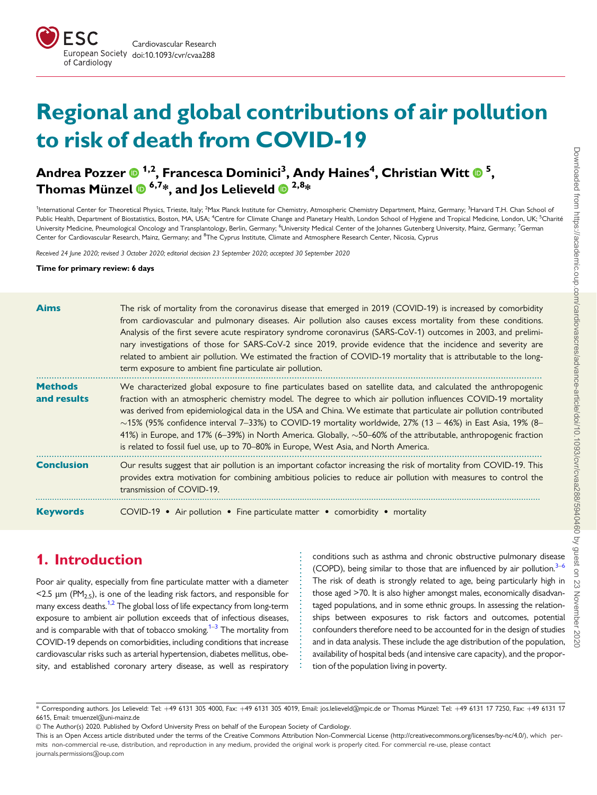# <span id="page-0-0"></span>Regional and global contributions of air pollution to risk of death from COVID-19

Andrea Pozzer  $\bm{\mathsf{\Theta}}$  <sup>1,2</sup>, Francesca Dominici<sup>3</sup>, Andy Haines<sup>4</sup>, Christian Witt  $\bm{\mathsf{\Theta}}$  <sup>5</sup>, Thomas Münzel  $\bullet^{6,7}$ \*, and Jos Lelieveld  $\bullet^{2,8}$ \*

<sup>1</sup>International Center for Theoretical Physics, Trieste, Italy; <sup>2</sup>Max Planck Institute for Chemistry, Atmospheric Chemistry Department, Mainz, Germany; <sup>3</sup>Harvard T.H. Chan School of Public Health, Department of Biostatistics, Boston, MA, USA; <sup>4</sup>Centre for Climate Change and Planetary Health, London School of Hygiene and Tropical Medicine, London, UK; <sup>5</sup>Charité University Medicine, Pneumological Oncology and Transplantology, Berlin, Germany; <sup>6</sup>University Medical Center of the Johannes Gutenberg University, Mainz, Germany; <sup>7</sup>German Center for Cardiovascular Research, Mainz, Germany; and <sup>8</sup>The Cyprus Institute, Climate and Atmosphere Research Center, Nicosia, Cyprus

Received 24 June 2020; revised 3 October 2020; editorial decision 23 September 2020; accepted 30 September 2020

Time for primary review: 6 days

| <b>Aims</b>                   | The risk of mortality from the coronavirus disease that emerged in 2019 (COVID-19) is increased by comorbidity<br>from cardiovascular and pulmonary diseases. Air pollution also causes excess mortality from these conditions.<br>Analysis of the first severe acute respiratory syndrome coronavirus (SARS-CoV-1) outcomes in 2003, and prelimi-<br>nary investigations of those for SARS-CoV-2 since 2019, provide evidence that the incidence and severity are<br>related to ambient air pollution. We estimated the fraction of COVID-19 mortality that is attributable to the long-<br>term exposure to ambient fine particulate air pollution.                                       |  |
|-------------------------------|---------------------------------------------------------------------------------------------------------------------------------------------------------------------------------------------------------------------------------------------------------------------------------------------------------------------------------------------------------------------------------------------------------------------------------------------------------------------------------------------------------------------------------------------------------------------------------------------------------------------------------------------------------------------------------------------|--|
| <b>Methods</b><br>and results | We characterized global exposure to fine particulates based on satellite data, and calculated the anthropogenic<br>fraction with an atmospheric chemistry model. The degree to which air pollution influences COVID-19 mortality<br>was derived from epidemiological data in the USA and China. We estimate that particulate air pollution contributed<br>$\sim$ 15% (95% confidence interval 7-33%) to COVID-19 mortality worldwide, 27% (13 - 46%) in East Asia, 19% (8-<br>41%) in Europe, and 17% (6–39%) in North America. Globally, $\sim$ 50–60% of the attributable, anthropogenic fraction<br>is related to fossil fuel use, up to 70–80% in Europe, West Asia, and North America. |  |
| <b>Conclusion</b>             | Our results suggest that air pollution is an important cofactor increasing the risk of mortality from COVID-19. This<br>provides extra motivation for combining ambitious policies to reduce air pollution with measures to control the<br>transmission of COVID-19.                                                                                                                                                                                                                                                                                                                                                                                                                        |  |
| <b>Keywords</b>               | COVID-19 • Air pollution • Fine particulate matter • comorbidity • mortality                                                                                                                                                                                                                                                                                                                                                                                                                                                                                                                                                                                                                |  |

# 1. Introduction

Poor air quality, especially from fine particulate matter with a diameter  $\leq$  2.5 µm (PM<sub>2.5</sub>), is one of the leading risk factors, and responsible for many excess deaths.<sup>[1,2](#page-5-0)</sup> The global loss of life expectancy from long-term exposure to ambient air pollution exceeds that of infectious diseases, and is comparable with that of tobacco smoking.<sup> $1-3$ </sup> The mortality from COVID-19 depends on comorbidities, including conditions that increase cardiovascular risks such as arterial hypertension, diabetes mellitus, obesity, and established coronary artery disease, as well as respiratory conditions such as asthma and chronic obstructive pulmonary disease (COPD), being similar to those that are influenced by air pollution. $3-6$  $3-6$ The risk of death is strongly related to age, being particularly high in those aged >70. It is also higher amongst males, economically disadvantaged populations, and in some ethnic groups. In assessing the relationships between exposures to risk factors and outcomes, potential confounders therefore need to be accounted for in the design of studies and in data analysis. These include the age distribution of the population, availability of hospital beds (and intensive care capacity), and the proportion of the population living in poverty.

. . . . . . . . . . . . . . . . . . . . . . . . . . . . . .

<sup>\*</sup> Corresponding authors. Jos Lelieveld: Tel: þ49 6131 305 4000, Fax: þ49 6131 305 4019, Email: jos.lelieveld@mpic.de or Thomas Mu¨nzel: Tel: þ49 6131 17 7250, Fax: þ49 6131 17 6615, Email: tmuenzel@uni-mainz.de

V<sup>C</sup> The Author(s) 2020. Published by Oxford University Press on behalf of the European Society of Cardiology.

This is an Open Access article distributed under the terms of the Creative Commons Attribution Non-Commercial License [\(http://creativecommons.org/licenses/by-nc/4.0/](http://creativecommons.org/licenses/by-nc/4.0/)), which permits non-commercial re-use, distribution, and reproduction in any medium, provided the original work is properly cited. For commercial re-use, please contact journals.permissions@oup.com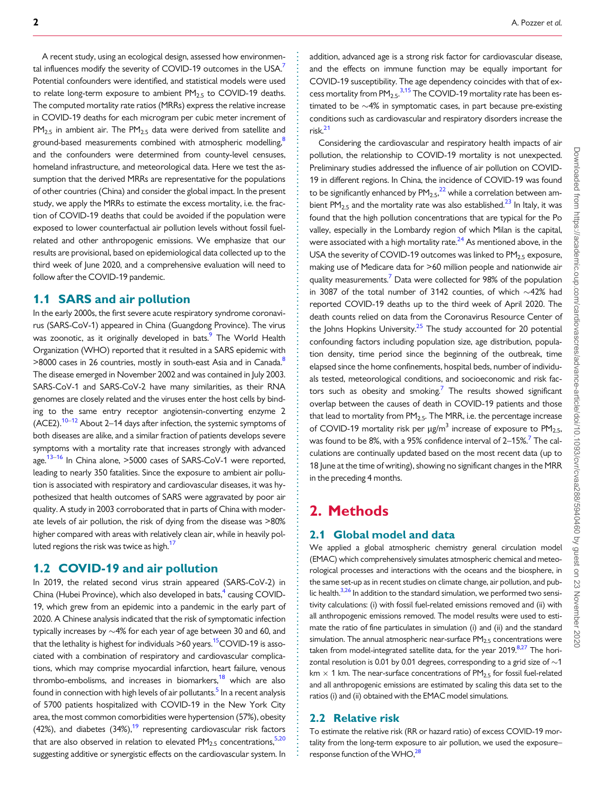<span id="page-1-0"></span>. A recent study, using an ecological design, assessed how environmen-tal influences modify the severity of COVID-19 outcomes in the USA.<sup>[7](#page-5-0)</sup> Potential confounders were identified, and statistical models were used to relate long-term exposure to ambient  $PM<sub>2.5</sub>$  to COVID-19 deaths. The computed mortality rate ratios (MRRs) express the relative increase in COVID-19 deaths for each microgram per cubic meter increment of  $PM<sub>2.5</sub>$  in ambient air. The  $PM<sub>2.5</sub>$  data were derived from satellite and ground-based measurements combined with atmospheric modelling,<sup>[8](#page-5-0)</sup> and the confounders were determined from county-level censuses, homeland infrastructure, and meteorological data. Here we test the assumption that the derived MRRs are representative for the populations of other countries (China) and consider the global impact. In the present study, we apply the MRRs to estimate the excess mortality, i.e. the fraction of COVID-19 deaths that could be avoided if the population were exposed to lower counterfactual air pollution levels without fossil fuelrelated and other anthropogenic emissions. We emphasize that our results are provisional, based on epidemiological data collected up to the third week of June 2020, and a comprehensive evaluation will need to follow after the COVID-19 pandemic.

#### 1.1 SARS and air pollution

In the early 2000s, the first severe acute respiratory syndrome coronavirus (SARS-CoV-1) appeared in China (Guangdong Province). The virus was zoonotic, as it originally developed in bats.<sup>[9](#page-5-0)</sup> The World Health Organization (WHO) reported that it resulted in a SARS epidemic with >[8](#page-5-0)000 cases in 26 countries, mostly in south-east Asia and in Canada.<sup>8</sup> The disease emerged in November 2002 and was contained in July 2003. SARS-CoV-1 and SARS-CoV-2 have many similarities, as their RNA genomes are closely related and the viruses enter the host cells by binding to the same entry receptor angiotensin-converting enzyme 2  $(ACE2).^{10-12}$  About 2–14 days after infection, the systemic symptoms of both diseases are alike, and a similar fraction of patients develops severe symptoms with a mortality rate that increases strongly with advanced age. $13-16$  In China alone,  $>5000$  cases of SARS-CoV-1 were reported, leading to nearly 350 fatalities. Since the exposure to ambient air pollution is associated with respiratory and cardiovascular diseases, it was hypothesized that health outcomes of SARS were aggravated by poor air quality. A study in 2003 corroborated that in parts of China with moderate levels of air pollution, the risk of dying from the disease was >80% higher compared with areas with relatively clean air, while in heavily pol-luted regions the risk was twice as high.<sup>[17](#page-5-0)</sup>

## 1.2 COVID-19 and air pollution

In 2019, the related second virus strain appeared (SARS-CoV-2) in China (Hubei Province), which also developed in bats,<sup>[4](#page-5-0)</sup> causing COVID-19, which grew from an epidemic into a pandemic in the early part of 2020. A Chinese analysis indicated that the risk of symptomatic infection typically increases by  ${\sim}4\%$  for each year of age between 30 and 60, and that the lethality is highest for individuals  $>60$  years.<sup>15</sup>COVID-19 is associated with a combination of respiratory and cardiovascular complications, which may comprise myocardial infarction, heart failure, venous thrombo-embolisms, and increases in biomarkers, $18$  which are also found in connection with high levels of air pollutants.<sup>5</sup> In a recent analysis of 5700 patients hospitalized with COVID-19 in the New York City area, the most common comorbidities were hypertension (57%), obesity (42%), and diabetes  $(34%)$ ,<sup>[19](#page-5-0)</sup> representing cardiovascular risk factors that are also observed in relation to elevated  $PM_{2.5}$  concentrations,<sup>[5,20](#page-5-0)</sup> suggesting additive or synergistic effects on the cardiovascular system. In

addition, advanced age is a strong risk factor for cardiovascular disease, and the effects on immune function may be equally important for COVID-19 susceptibility. The age dependency coincides with that of ex-cess mortality from PM<sub>2.5</sub>.<sup>[3](#page-5-0),[15](#page-5-0)</sup> The COVID-19 mortality rate has been estimated to be  $\sim$ 4% in symptomatic cases, in part because pre-existing conditions such as cardiovascular and respiratory disorders increase the risk[.21](#page-5-0)

Considering the cardiovascular and respiratory health impacts of air pollution, the relationship to COVID-19 mortality is not unexpected. Preliminary studies addressed the influence of air pollution on COVID-19 in different regions. In China, the incidence of COVID-19 was found to be significantly enhanced by  $\mathsf{PM_{2.5}}^{22}$  $\mathsf{PM_{2.5}}^{22}$  $\mathsf{PM_{2.5}}^{22}$  while a correlation between ambient  $PM_{2.5}$  and the mortality rate was also established.<sup>[23](#page-5-0)</sup> In Italy, it was found that the high pollution concentrations that are typical for the Po valley, especially in the Lombardy region of which Milan is the capital, were associated with a high mortality rate. $24$  As mentioned above, in the USA the severity of COVID-19 outcomes was linked to  $PM<sub>2.5</sub>$  exposure, making use of Medicare data for >60 million people and nationwide air quality measurements.<sup>[7](#page-5-0)</sup> Data were collected for 98% of the population in 3087 of the total number of 3142 counties, of which  ${\sim}42\%$  had reported COVID-19 deaths up to the third week of April 2020. The death counts relied on data from the Coronavirus Resource Center of the Johns Hopkins University.<sup>[25](#page-5-0)</sup> The study accounted for 20 potential confounding factors including population size, age distribution, population density, time period since the beginning of the outbreak, time elapsed since the home confinements, hospital beds, number of individuals tested, meteorological conditions, and socioeconomic and risk factors such as obesity and smoking.<sup>7</sup> The results showed significant overlap between the causes of death in COVID-19 patients and those that lead to mortality from  $PM<sub>2.5</sub>$ . The MRR, i.e. the percentage increase of COVID-19 mortality risk per  $\mu$ g/m<sup>3</sup> increase of exposure to PM<sub>2.5</sub>, was found to be  $8\%$ , with a 95% confidence interval of 2–15%.<sup>7</sup> The calculations are continually updated based on the most recent data (up to 18 June at the time of writing), showing no significant changes in the MRR in the preceding 4 months.

# 2. Methods

#### 2.1 Global model and data

We applied a global atmospheric chemistry general circulation model (EMAC) which comprehensively simulates atmospheric chemical and meteorological processes and interactions with the oceans and the biosphere, in the same set-up as in recent studies on climate change, air pollution, and pub-lic health.<sup>[3,26](#page-5-0)</sup> In addition to the standard simulation, we performed two sensitivity calculations: (i) with fossil fuel-related emissions removed and (ii) with all anthropogenic emissions removed. The model results were used to estimate the ratio of fine particulates in simulation (i) and (ii) and the standard simulation. The annual atmospheric near-surface  $PM<sub>2.5</sub>$  concentrations were taken from model-integrated satellite data, for the year  $2019$ .<sup>[8,27](#page-5-0)</sup> The horizontal resolution is 0.01 by 0.01 degrees, corresponding to a grid size of  ${\sim}1$ km  $\times$  1 km. The near-surface concentrations of PM<sub>2.5</sub> for fossil fuel-related and all anthropogenic emissions are estimated by scaling this data set to the ratios (i) and (ii) obtained with the EMAC model simulations.

## 2.2 Relative risk

. . . . . . . . . . . . . . . . . . . . . . . . . . . . . . . . . . . . . . . . . . . . . . . . . . . . . . . . . . . . . . . . . . . . . . . . . . . . . . . . . . . . . . . . . . . . . . . . . . . . . . . . . . . . . . . . . . . . . . . . . . . . . . . . . . . . . . . . . . . . . . . . . . . . . . . . . . . . . . . . . . . . . . . . . . . . . . . . . .

To estimate the relative risk (RR or hazard ratio) of excess COVID-19 mortality from the long-term exposure to air pollution, we used the exposure– response function of the WHO,<sup>28</sup>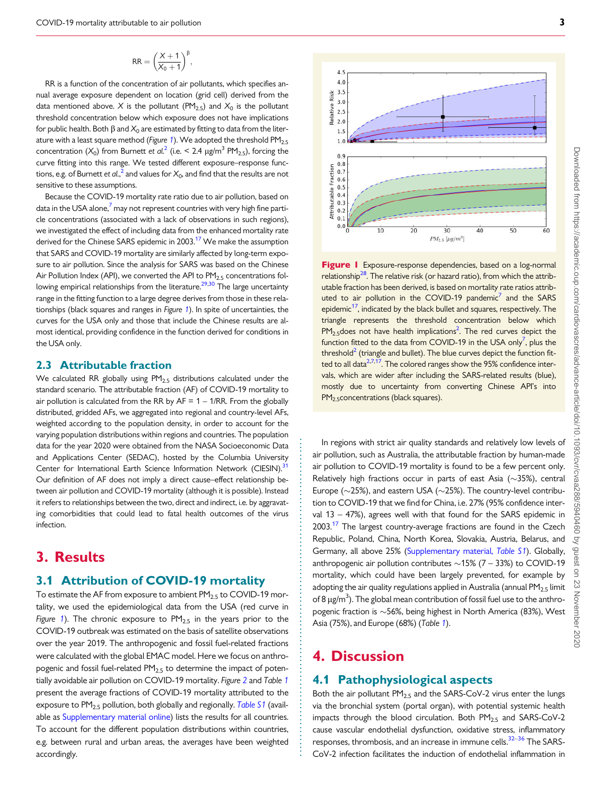$$
RR = \left(\frac{X+1}{X_0+1}\right)^{\beta},
$$

<span id="page-2-0"></span>RR is a function of the concentration of air pollutants, which specifies annual average exposure dependent on location (grid cell) derived from the data mentioned above. X is the pollutant (PM<sub>2.5</sub>) and  $X_0$  is the pollutant threshold concentration below which exposure does not have implications for public health. Both  $\beta$  and  $X_0$  are estimated by fitting to data from the literature with a least square method (Figure 1). We adopted the threshold  $PM<sub>2.5</sub>$ concentration  $(X_0)$  from Burnett et al.<sup>[2](#page-5-0)</sup> (i.e.  $\leq$  2.4  $\mu$ g/m<sup>3</sup> PM<sub>2.5</sub>), forcing the curve fitting into this range. We tested different exposure–response functions, e.g. of Burnett et al., $^2$  $^2$  and values for  $\mathsf{X}_0$ , and find that the results are not sensitive to these assumptions.

Because the COVID-19 mortality rate ratio due to air pollution, based on data in the USA alone, $\frac{7}{1}$  $\frac{7}{1}$  $\frac{7}{1}$  may not represent countries with very high fine particle concentrations (associated with a lack of observations in such regions), we investigated the effect of including data from the enhanced mortality rate derived for the Chinese SARS epidemic in 2003.<sup>[17](#page-5-0)</sup> We make the assumption that SARS and COVID-19 mortality are similarly affected by long-term exposure to air pollution. Since the analysis for SARS was based on the Chinese Air Pollution Index (API), we converted the API to  $PM<sub>2.5</sub>$  concentrations fol-lowing empirical relationships from the literature.<sup>[29,30](#page-5-0)</sup> The large uncertainty range in the fitting function to a large degree derives from those in these relationships (black squares and ranges in Figure 1). In spite of uncertainties, the curves for the USA only and those that include the Chinese results are almost identical, providing confidence in the function derived for conditions in the USA only.

## 2.3 Attributable fraction

We calculated RR globally using  $PM<sub>2.5</sub>$  distributions calculated under the standard scenario. The attributable fraction (AF) of COVID-19 mortality to air pollution is calculated from the RR by  $AF = 1 - 1/RR$ . From the globally distributed, gridded AFs, we aggregated into regional and country-level AFs, weighted according to the population density, in order to account for the varying population distributions within regions and countries. The population data for the year 2020 were obtained from the NASA Socioeconomic Data and Applications Center (SEDAC), hosted by the Columbia University Center for International Earth Science Information Network (CIESIN).<sup>[31](#page-5-0)</sup> Our definition of AF does not imply a direct cause–effect relationship between air pollution and COVID-19 mortality (although it is possible). Instead it refers to relationships between the two, direct and indirect, i.e. by aggravating comorbidities that could lead to fatal health outcomes of the virus infection.

# 3. Results

# 3.1 Attribution of COVID-19 mortality

To estimate the AF from exposure to ambient  $PM_{2.5}$  to COVID-19 mortality, we used the epidemiological data from the USA (red curve in Figure 1). The chronic exposure to  $PM<sub>2.5</sub>$  in the years prior to the COVID-19 outbreak was estimated on the basis of satellite observations over the year 2019. The anthropogenic and fossil fuel-related fractions were calculated with the global EMAC model. Here we focus on anthropogenic and fossil fuel-related  $PM<sub>2.5</sub>$  to determine the impact of poten-tially avoidable air pollution on COVID-19 mortality. Figure [2](#page-3-0) and Table [1](#page-4-0) present the average fractions of COVID-19 mortality attributed to the exposure to  $PM<sub>2.5</sub>$  pollution, both globally and regionally. [Table S1](https://academic.oup.com/cardiovascres/article-lookup/doi/10.1093/cvr/cvaa288#supplementary-data) (available as [Supplementary material online\)](https://academic.oup.com/cardiovascres/article-lookup/doi/10.1093/cvr/cvaa288#supplementary-data) lists the results for all countries. To account for the different population distributions within countries, e.g. between rural and urban areas, the averages have been weighted accordingly.



Figure I Exposure-response dependencies, based on a log-normal relationship<sup>28</sup>. The relative risk (or hazard ratio), from which the attributable fraction has been derived, is based on mortality rate ratios attributed to air pollution in the COVID-19 pandemic $^7$  and the SARS epidemic<sup>17</sup>, indicated by the black bullet and squares, respectively. The triangle represents the threshold concentration below which  $PM_{2.5}$ does not have health implications<sup>2</sup>. The red curves depict the function fitted to the data from COVID-19 in the USA only<sup>7</sup>, plus the threshold $2$  (triangle and bullet). The blue curves depict the function fitted to all data $27,17$ . The colored ranges show the 95% confidence intervals, which are wider after including the SARS-related results (blue), mostly due to uncertainty from converting Chinese API's into PM<sub>2</sub> sconcentrations (black squares).

In regions with strict air quality standards and relatively low levels of air pollution, such as Australia, the attributable fraction by human-made air pollution to COVID-19 mortality is found to be a few percent only. Relatively high fractions occur in parts of east Asia ( $\sim$ 35%), central Europe ( $\sim$ 25%), and eastern USA ( $\sim$ 25%). The country-level contribution to COVID-19 that we find for China, i.e. 27% (95% confidence interval 13 – 47%), agrees well with that found for the SARS epidemic in 2003.<sup>17</sup> The largest country-average fractions are found in the Czech Republic, Poland, China, North Korea, Slovakia, Austria, Belarus, and Germany, all above 25% [\(Supplementary material,](https://academic.oup.com/cardiovascres/article-lookup/doi/10.1093/cvr/cvaa288#supplementary-data) Table S1). Globally, anthropogenic air pollution contributes  ${\sim}15\%$  (7 – 33%) to COVID-19 mortality, which could have been largely prevented, for example by adopting the air quality regulations applied in Australia (annual  $PM<sub>2.5</sub>$  limit of 8  $\mu$ g/m $^3$ ). The global mean contribution of fossil fuel use to the anthropogenic fraction is  ${\sim}56\%$ , being highest in North America (83%), West Asia (75%), and Europe (68%) (Table [1](#page-4-0)).

# 4. Discussion

. . . . . . . . . . . . . . . . . . . . . . . . . . . . . . . . . . . . . . . . . . . . . . . . . . . . . . . . . . . . . . . . . . . . . . . . . . . . . . . . .

## 4.1 Pathophysiological aspects

Both the air pollutant  $PM<sub>2.5</sub>$  and the SARS-CoV-2 virus enter the lungs via the bronchial system (portal organ), with potential systemic health impacts through the blood circulation. Both  $PM<sub>2.5</sub>$  and SARS-CoV-2 cause vascular endothelial dysfunction, oxidative stress, inflammatory responses, thrombosis, and an increase in immune cells.<sup>32–[36](#page-6-0)</sup> The SARS-CoV-2 infection facilitates the induction of endothelial inflammation in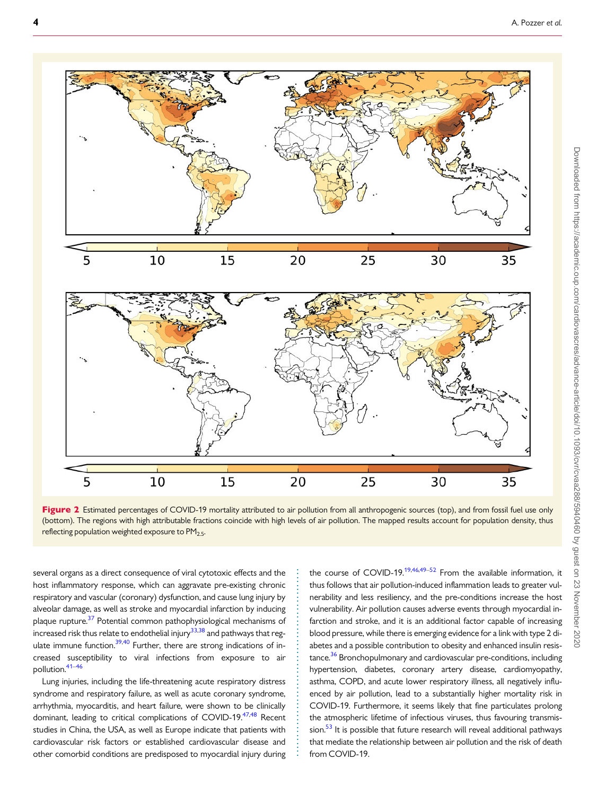<span id="page-3-0"></span>

Figure 2 Estimated percentages of COVID-19 mortality attributed to air pollution from all anthropogenic sources (top), and from fossil fuel use only (bottom). The regions with high attributable fractions coincide with high levels of air pollution. The mapped results account for population density, thus reflecting population weighted exposure to PM<sub>2.5</sub>.

. . . . . . . . . . . . . . . . . . . . . . . . . . . . . . . . . . . . . . . . . . . . . . .

several organs as a direct consequence of viral cytotoxic effects and the host inflammatory response, which can aggravate pre-existing chronic respiratory and vascular (coronary) dysfunction, and cause lung injury by alveolar damage, as well as stroke and myocardial infarction by inducing plaque rupture.<sup>[37](#page-6-0)</sup> Potential common pathophysiological mechanisms of increased risk thus relate to endothelial injury<sup>33,[38](#page-6-0)</sup> and pathways that regulate immune function.<sup>39,40</sup> Further, there are strong indications of increased susceptibility to viral infections from exposure to air pollution[.41–46](#page-6-0)

Lung injuries, including the life-threatening acute respiratory distress syndrome and respiratory failure, as well as acute coronary syndrome, arrhythmia, myocarditis, and heart failure, were shown to be clinically dominant, leading to critical complications of COVID-19.<sup>47,48</sup> Recent studies in China, the USA, as well as Europe indicate that patients with cardiovascular risk factors or established cardiovascular disease and other comorbid conditions are predisposed to myocardial injury during

the course of COVID-19.<sup>19,[46,49](#page-6-0)–[52](#page-6-0)</sup> From the available information, it thus follows that air pollution-induced inflammation leads to greater vulnerability and less resiliency, and the pre-conditions increase the host vulnerability. Air pollution causes adverse events through myocardial infarction and stroke, and it is an additional factor capable of increasing blood pressure, while there is emerging evidence for a link with type 2 diabetes and a possible contribution to obesity and enhanced insulin resis-tance.<sup>[36](#page-6-0)</sup> Bronchopulmonary and cardiovascular pre-conditions, including hypertension, diabetes, coronary artery disease, cardiomyopathy, asthma, COPD, and acute lower respiratory illness, all negatively influenced by air pollution, lead to a substantially higher mortality risk in COVID-19. Furthermore, it seems likely that fine particulates prolong the atmospheric lifetime of infectious viruses, thus favouring transmission.<sup>53</sup> It is possible that future research will reveal additional pathways that mediate the relationship between air pollution and the risk of death from COVID-19.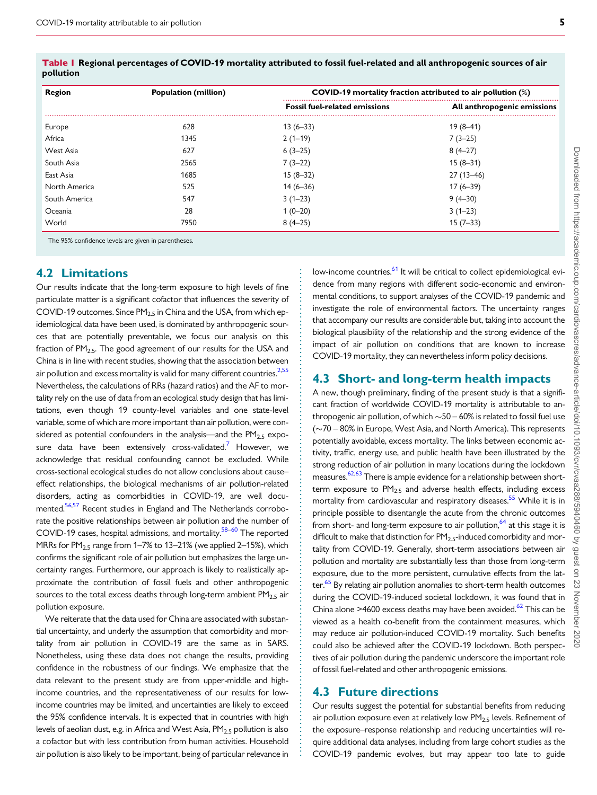| Region        | <b>Population (million)</b> | <b>COVID-19</b> mortality fraction attributed to air pollution $(\%)$ |                             |
|---------------|-----------------------------|-----------------------------------------------------------------------|-----------------------------|
|               |                             | <b>Fossil fuel-related emissions</b>                                  | All anthropogenic emissions |
| Europe        | 628                         | $13(6-33)$                                                            | $19(8-41)$                  |
| Africa        | 1345                        | $2(1-19)$                                                             | $7(3-25)$                   |
| West Asia     | 627                         | $6(3-25)$                                                             | $8(4-27)$                   |
| South Asia    | 2565                        | $7(3-22)$                                                             | $15(8-31)$                  |
| East Asia     | 1685                        | $15(8-32)$                                                            | $27(13-46)$                 |
| North America | 525                         | $14(6-36)$                                                            | $17(6-39)$                  |
| South America | 547                         | $3(1-23)$                                                             | $9(4-30)$                   |
| Oceania       | 28                          | $1(0-20)$                                                             | $3(1-23)$                   |
| World         | 7950                        | $8(4-25)$                                                             | $15(7-33)$                  |

<span id="page-4-0"></span>Table 1 Regional percentages of COVID-19 mortality attributed to fossil fuel-related and all anthropogenic sources of air pollution

The 95% confidence levels are given in parentheses.

# . 4.2 Limitations

Our results indicate that the long-term exposure to high levels of fine particulate matter is a significant cofactor that influences the severity of COVID-19 outcomes. Since  $PM<sub>2.5</sub>$  in China and the USA, from which epidemiological data have been used, is dominated by anthropogenic sources that are potentially preventable, we focus our analysis on this fraction of  $PM<sub>2.5</sub>$ . The good agreement of our results for the USA and China is in line with recent studies, showing that the association between air pollution and excess mortality is valid for many different countries. $2.55$  $2.55$ Nevertheless, the calculations of RRs (hazard ratios) and the AF to mortality rely on the use of data from an ecological study design that has limitations, even though 19 county-level variables and one state-level variable, some of which are more important than air pollution, were considered as potential confounders in the analysis—and the  $PM<sub>2.5</sub>$  expo-sure data have been extensively cross-validated.<sup>[7](#page-5-0)</sup> However, we acknowledge that residual confounding cannot be excluded. While cross-sectional ecological studies do not allow conclusions about cause– effect relationships, the biological mechanisms of air pollution-related disorders, acting as comorbidities in COVID-19, are well docu-mented.<sup>[56,57](#page-6-0)</sup> Recent studies in England and The Netherlands corroborate the positive relationships between air pollution and the number of COVID-19 cases, hospital admissions, and mortality.<sup>[58](#page-6-0)–[60](#page-6-0)</sup> The reported MRRs for  $PM_{2.5}$  range from 1–7% to 13–21% (we applied 2–15%), which confirms the significant role of air pollution but emphasizes the large uncertainty ranges. Furthermore, our approach is likely to realistically approximate the contribution of fossil fuels and other anthropogenic sources to the total excess deaths through long-term ambient  $PM<sub>2.5</sub>$  air pollution exposure.

We reiterate that the data used for China are associated with substantial uncertainty, and underly the assumption that comorbidity and mortality from air pollution in COVID-19 are the same as in SARS. Nonetheless, using these data does not change the results, providing confidence in the robustness of our findings. We emphasize that the data relevant to the present study are from upper-middle and highincome countries, and the representativeness of our results for lowincome countries may be limited, and uncertainties are likely to exceed the 95% confidence intervals. It is expected that in countries with high levels of aeolian dust, e.g. in Africa and West Asia,  $PM_{2.5}$  pollution is also a cofactor but with less contribution from human activities. Household air pollution is also likely to be important, being of particular relevance in

low-income countries.<sup>61</sup> It will be critical to collect epidemiological evidence from many regions with different socio-economic and environmental conditions, to support analyses of the COVID-19 pandemic and investigate the role of environmental factors. The uncertainty ranges that accompany our results are considerable but, taking into account the biological plausibility of the relationship and the strong evidence of the impact of air pollution on conditions that are known to increase COVID-19 mortality, they can nevertheless inform policy decisions.

# 4.3 Short- and long-term health impacts

A new, though preliminary, finding of the present study is that a significant fraction of worldwide COVID-19 mortality is attributable to anthropogenic air pollution, of which  ${\sim}50$  – 60% is related to fossil fuel use  $(\sim$  70 – 80% in Europe, West Asia, and North America). This represents potentially avoidable, excess mortality. The links between economic activity, traffic, energy use, and public health have been illustrated by the strong reduction of air pollution in many locations during the lockdown measures.<sup>62,[63](#page-6-0)</sup> There is ample evidence for a relationship between shortterm exposure to  $PM<sub>2.5</sub>$  and adverse health effects, including excess mortality from cardiovascular and respiratory diseases.<sup>[55](#page-6-0)</sup> While it is in principle possible to disentangle the acute from the chronic outcomes from short- and long-term exposure to air pollution,  $64$  at this stage it is difficult to make that distinction for  $PM<sub>2.5</sub>$ -induced comorbidity and mortality from COVID-19. Generally, short-term associations between air pollution and mortality are substantially less than those from long-term exposure, due to the more persistent, cumulative effects from the latter.<sup>65</sup> By relating air pollution anomalies to short-term health outcomes during the COVID-19-induced societal lockdown, it was found that in China alone >4600 excess deaths may have been avoided. $62$  This can be viewed as a health co-benefit from the containment measures, which may reduce air pollution-induced COVID-19 mortality. Such benefits could also be achieved after the COVID-19 lockdown. Both perspectives of air pollution during the pandemic underscore the important role of fossil fuel-related and other anthropogenic emissions.

## 4.3 Future directions

. . . . . . . . . . . . . . . . . . . . . . . . . . . . . . . . . . . . . . . . . . . . . . . . . . . . . . . . . . . . . . . . . . . . . . . . . . . . . . . . . . . . . . . . . . . . . . . . . . . . . . . . . . . . . . . . . . . . . . . . . . .

Our results suggest the potential for substantial benefits from reducing air pollution exposure even at relatively low  $PM<sub>2.5</sub>$  levels. Refinement of the exposure–response relationship and reducing uncertainties will require additional data analyses, including from large cohort studies as the COVID-19 pandemic evolves, but may appear too late to guide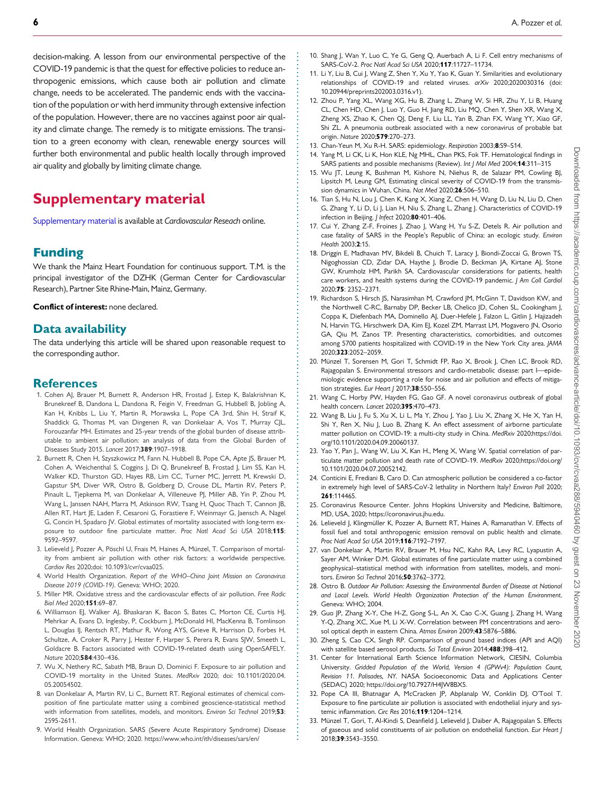<span id="page-5-0"></span>thropogenic emissions, which cause both air pollution and climate change, needs to be accelerated. The pandemic ends with the vaccination of the population or with herd immunity through extensive infection of the population. However, there are no vaccines against poor air quality and climate change. The remedy is to mitigate emissions. The transition to a green economy with clean, renewable energy sources will further both environmental and public health locally through improved air quality and globally by limiting climate change.

# Supplementary material

[Supplementary material](https://academic.oup.com/cardiovascres/article-lookup/doi/10.1093/cvr/cvaa288#supplementary-data) is available at Cardiovascular Reseach online.

## Funding

We thank the Mainz Heart Foundation for continuous support. T.M. is the principal investigator of the DZHK (German Center for Cardiovascular Research), Partner Site Rhine-Main, Mainz, Germany.

Conflict of interest: none declared.

#### Data availability

The data underlying this article will be shared upon reasonable request to the corresponding author.

#### References

- [1](#page-0-0). Cohen AJ, Brauer M, Burnett R, Anderson HR, Frostad J, Estep K, Balakrishnan K, Brunekreef B, Dandona L, Dandona R, Feigin V, Freedman G, Hubbell B, Jobling A, Kan H, Knibbs L, Liu Y, Martin R, Morawska L, Pope CA 3rd, Shin H, Straif K, Shaddick G, Thomas M, van Dingenen R, van Donkelaar A, Vos T, Murray CJL, Forouzanfar MH. Estimates and 25-year trends of the global burden of disease attributable to ambient air pollution: an analysis of data from the Global Burden of Diseases Study 2015. Lancet 2017;389:1907–1918.
- [2](#page-0-0). Burnett R, Chen H, Szyszkowicz M, Fann N, Hubbell B, Pope CA, Apte JS, Brauer M, Cohen A, Weichenthal S, Coggins J, Di Q, Brunekreef B, Frostad J, Lim SS, Kan H, Walker KD, Thurston GD, Hayes RB, Lim CC, Turner MC, Jerrett M, Krewski D, Gapstur SM, Diver WR, Ostro B, Goldberg D, Crouse DL, Martin RV, Peters P, Pinault L, Tjepkema M, van Donkelaar A, Villeneuve PJ, Miller AB, Yin P, Zhou M, Wang L, Janssen NAH, Marra M, Atkinson RW, Tsang H, Quoc Thach T, Cannon JB, Allen RT, Hart JE, Laden F, Cesaroni G, Forastiere F, Weinmayr G, Jaensch A, Nagel G, Concin H, Spadaro JV. Global estimates of mortality associated with long-term exposure to outdoor fine particulate matter. Proc Natl Acad Sci USA 2018;115: 9592–9597.
- [3](#page-1-0). Lelieveld J, Pozzer A, Pöschl U, Fnais M, Haines A, Münzel, T. Comparison of mortality from ambient air pollution with other risk factors: a worldwide perspective. Cardiov Res 2020;doi: 10.1093/cvr/cvaa025.
- [4](#page-1-0). World Health Organization. Report of the WHO–China Joint Mission on Coronavirus Disease 2019 (COVID-19). Geneva: WHO; 2020.
- [5](#page-1-0). Miller MR. Oxidative stress and the cardiovascular effects of air pollution. Free Radic Biol Med 2020;151:69–87.
- 6. Williamson EJ, Walker AJ, Bhaskaran K, Bacon S, Bates C, Morton CE, Curtis HJ, Mehrkar A, Evans D, Inglesby, P, Cockburn J, McDonald HI, MacKenna B, Tomlinson L, Douglas IJ, Rentsch RT, Mathur R, Wong AYS, Grieve R, Harrison D, Forbes H, Schultze, A, Croker R, Parry J, Hester F, Harper S, Perera R, Evans SJW, Smeeth L, Goldacre B. Factors associated with COVID-19-related death using OpenSAFELY. Nature 2020;584:430–436.
- [7](#page-1-0). Wu X, Nethery RC, Sabath MB, Braun D, Dominici F. Exposure to air pollution and COVID-19 mortality in the United States. MedRxiv 2020; doi: 10.1101/2020.04. 05.20054502.
- [8](#page-1-0). van Donkelaar A, Martin RV, Li C., Burnett RT. Regional estimates of chemical composition of fine particulate matter using a combined geoscience-statistical method with information from satellites, models, and monitors. Environ Sci Technol 2019;53: 2595-2611.
- [9](#page-1-0). World Health Organization. SARS (Severe Acute Respiratory Syndrome) Disease Information. Geneva: WHO; 2020.<https://www.who.int/ith/diseases/sars/en/>

. . . . . . . . . . . . . . . . . . . . . . . . . . . . . . . . . . . . . . . . . . . . . . . . . . . . . . . . . . . . . . . . . . . . . . . . . . . . . . . . . . . . . . . . . . . . . . . . . . . . . . . . . . . . . . . . . . . . . . . . . . . . . . . . . . . . . . . . . . . . . . . . . . . . . . . . . . . . . . . . . . . .

- 10. Shang J, Wan Y, Luo C, Ye G, Geng Q, Auerbach A, Li F. Cell entry mechanisms of SARS-CoV-2. Proc Natl Acad Sci USA 2020;117:11727–11734.
- 11. Li Y, Liu B, Cui J, Wang Z, Shen Y, Xu Y, Yao K, Guan Y. Similarities and evolutionary relationships of COVID-19 and related viruses. arXiv 2020;2020030316 (doi: 10.20944/preprints202003.0316.v1).
- 12. Zhou P, Yang XL, Wang XG, Hu B, Zhang L, Zhang W, Si HR, Zhu Y, Li B, Huang CL, Chen HD, Chen J, Luo Y, Guo H, Jiang RD, Liu MQ, Chen Y, Shen XR, Wang X, Zheng XS, Zhao K, Chen QJ, Deng F, Liu LL, Yan B, Zhan FX, Wang YY, Xiao GF, Shi ZL. A pneumonia outbreak associated with a new coronavirus of probable bat origin. Nature 2020;579:270–273.
- 13. Chan-Yeun M, Xu R-H. SARS: epidemiology. Respiration 2003;8:S9–S14.
- 14. Yang M, Li CK, Li K, Hon KLE, Ng MHL, Chan PKS, Fok TF. Hematological findings in SARS patients and possible mechanisms (Review). Int J Mol Med 2004;14:311–315
- [15.](#page-1-0) Wu JT, Leung K, Bushman M, Kishore N, Niehus R, de Salazar PM, Cowling BJ, Lipsitch M, Leung GM, Estimating clinical severity of COVID-19 from the transmission dynamics in Wuhan, China. Nat Med 2020;26:506–510.
- 16. Tian S, Hu N, Lou J, Chen K, Kang X, Xiang Z, Chen H, Wang D, Liu N, Liu D, Chen G, Zhang Y, Li D, Li J, Lian H, Niu S, Zhang L, Zhang J. Characteristics of COVID-19 infection in Beijing. *| Infect* 2020;80:401-406.
- [17.](#page-1-0) Cui Y, Zhang Z-F, Froines J, Zhao J, Wang H, Yu S-Z, Detels R. Air pollution and case fatality of SARS in the People's Republic of China: an ecologic study. Environ Health 2003:2:15.
- [18.](#page-1-0) Driggin E, Madhavan MV, Bikdeli B, Chuich T, Laracy J, Biondi-Zoccai G, Brown TS, Nigoghossian CD, Zidar DA, Haythe J, Brodie D, Beckman JA, Kirtane AJ, Stone GW, Krumholz HM, Parikh SA. Cardiovascular considerations for patients, health care workers, and health systems during the COVID-19 pandemic. J Am Coll Cardiol 2020;75: 2352–2371.
- [19.](#page-1-0) Richardson S, Hirsch JS, Narasimhan M, Crawford JM, McGinn T, Davidson KW, and the Northwell C-RC, Barnaby DP, Becker LB, Chelico JD, Cohen SL, Cookingham J, Coppa K, Diefenbach MA, Dominello AJ, Duer-Hefele J, Falzon L, Gitlin J, Hajizadeh N, Harvin TG, Hirschwerk DA, Kim EJ, Kozel ZM, Marrast LM, Mogavero JN, Osorio GA, Qiu M, Zanos TP. Presenting characteristics, comorbidities, and outcomes among 5700 patients hospitalized with COVID-19 in the New York City area. JAMA 2020;323:2052–2059.
- [20.](#page-1-0) Münzel T, Sorensen M, Gori T, Schmidt FP, Rao X, Brook J, Chen LC, Brook RD, Rajagopalan S. Environmental stressors and cardio-metabolic disease: part I—epidemiologic evidence supporting a role for noise and air pollution and effects of mitigation strategies. Eur Heart J 2017;38:550-556.
- [21.](#page-1-0) Wang C, Horby PW, Hayden FG, Gao GF. A novel coronavirus outbreak of global health concern. Lancet 2020;395:470–473.
- [22.](#page-1-0) Wang B, Liu J, Fu S, Xu X, Li L, Ma Y, Zhou J, Yao J, Liu X, Zhang X, He X, Yan H, Shi Y, Ren X, Niu J, Luo B, Zhang K. An effect assessment of airborne particulate matter pollution on COVID-19: a multi-city study in China. MedRxiv 2020[;https://doi.](https://doi.org/10.1101/2020.04.09.20060137.) [org/10.1101/2020.04.09.20060137.](https://doi.org/10.1101/2020.04.09.20060137.)
- [23.](#page-1-0) Yao Y, Pan J., Wang W, Liu X, Kan H., Meng X, Wang W. Spatial correlation of particulate matter pollution and death rate of COVID-19. MedRxiv 2020;[https://doi.org/](https://doi.org/10.1101/2020.04.07.20052142.) [10.1101/2020.04.07.20052142.](https://doi.org/10.1101/2020.04.07.20052142.)
- [24.](#page-1-0) Conticini E, Frediani B, Caro D. Can atmospheric pollution be considered a co-factor in extremely high level of SARS-CoV-2 lethality in Northern Italy? Environ Poll 2020; 261:114465.
- [25.](#page-1-0) Coronavirus Resource Center. Johns Hopkins University and Medicine, Baltimore, MD, USA, 2020; [https://coronavirus.jhu.edu.](https://coronavirus.jhu.edu)
- [26.](#page-1-0) Lelieveld J, Klingmüller K, Pozzer A, Burnett RT, Haines A, Ramanathan V. Effects of fossil fuel and total anthropogenic emission removal on public health and climate. Proc Natl Acad Sci USA 2019:116:7192-7197.
- [27.](#page-1-0) van Donkelaar A, Martin RV, Brauer M, Hsu NC, Kahn RA, Levy RC, Lyapustin A, Sayer AM, Winker D.M. Global estimates of fine particulate matter using a combined geophysical–statistical method with information from satellites, models, and monitors. Environ Sci Technol 2016;50:3762–3772.
- [28.](#page-1-0) Ostro B. Outdoor Air Pollution: Assessing the Environmental Burden of Disease at National and Local Levels. World Health Organization Protection of the Human Environment. Geneva: WHO; 2004.
- [29.](#page-2-0) Guo JP, Zhang X-Y, Che H-Z, Gong S-L, An X, Cao C-X, Guang J, Zhang H, Wang Y-Q, Zhang XC, Xue M, Li X-W. Correlation between PM concentrations and aerosol optical depth in eastern China. Atmos Environ 2009:43:5876-5886.
- [30.](#page-2-0) Zheng S, Cao CX, Singh RP. Comparison of ground based indices (API and AQI) with satellite based aerosol products. Sci Total Environ 2014;488:398–412.
- [31.](#page-2-0) Center for International Earth Science Information Network, CIESIN, Columbia University. Gridded Population of the World, Version 4 (GPWv4): Population Count, Revision 11. Palisades, NY. NASA Socioeconomic Data and Applications Center (SEDAC) 2020;<https://doi.org/10.7927/H4JW8BX5>.
- 32. Pope CA III, Bhatnagar A, McCracken JP, Abplanalp W, Conklin DJ, O'Tool T. Exposure to fine particulate air pollution is associated with endothelial injury and systemic inflammation. Circ Res 2016;119:1204–1214.
- [33.](#page-3-0) Münzel T, Gori, T, Al-Kindi S, Deanfield J, Lelieveld J, Daiber A, Rajagopalan S. Effects of gaseous and solid constituents of air pollution on endothelial function. Eur Heart J 2018;39:3543–3550.